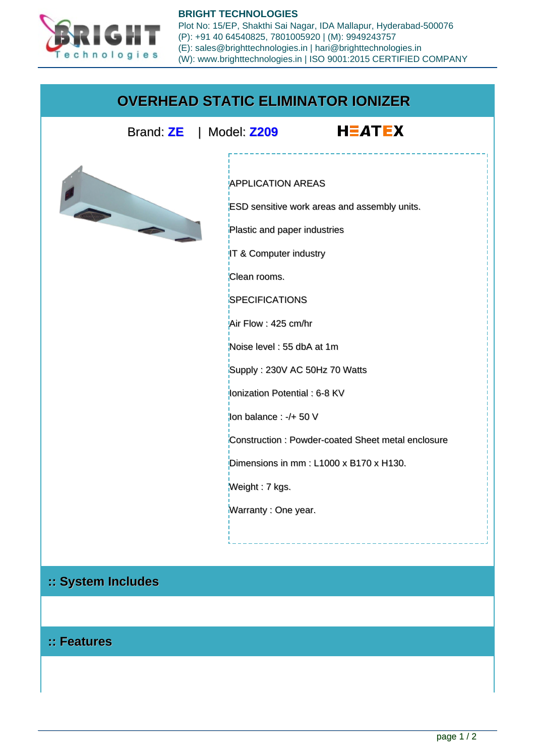

**BRIGHT TECHNOLOGIES** Plot No: 15/EP, Shakthi Sai Nagar, IDA Mallapur, Hyderabad-500076 (P): +91 40 64540825, 7801005920 | (M): 9949243757 (E): sales@brighttechnologies.in | hari@brighttechnologies.in (W): www.brighttechnologies.in | ISO 9001:2015 CERTIFIED COMPANY

## **OVERHEAD STATIC ELIMINATOR IONIZER**

Brand: **ZE** | Model: **Z209**





## APPLICATION AREAS

ESD sensitive work areas and assembly units.

Plastic and paper industries

IT & Computer industry

Clean rooms.

**SPECIFICATIONS** 

Air Flow : 425 cm/hr

Noise level : 55 dbA at 1m

Supply : 230V AC 50Hz 70 Watts

Ionization Potential : 6-8 KV

 $\frac{1}{2}$ lon balance : -/+ 50 V

Construction : Powder-coated Sheet metal enclosure

Dimensions in mm : L1000 x B170 x H130.

Weight : 7 kgs.

Warranty : One year.

## **:: System Includes**

## **:: Features**